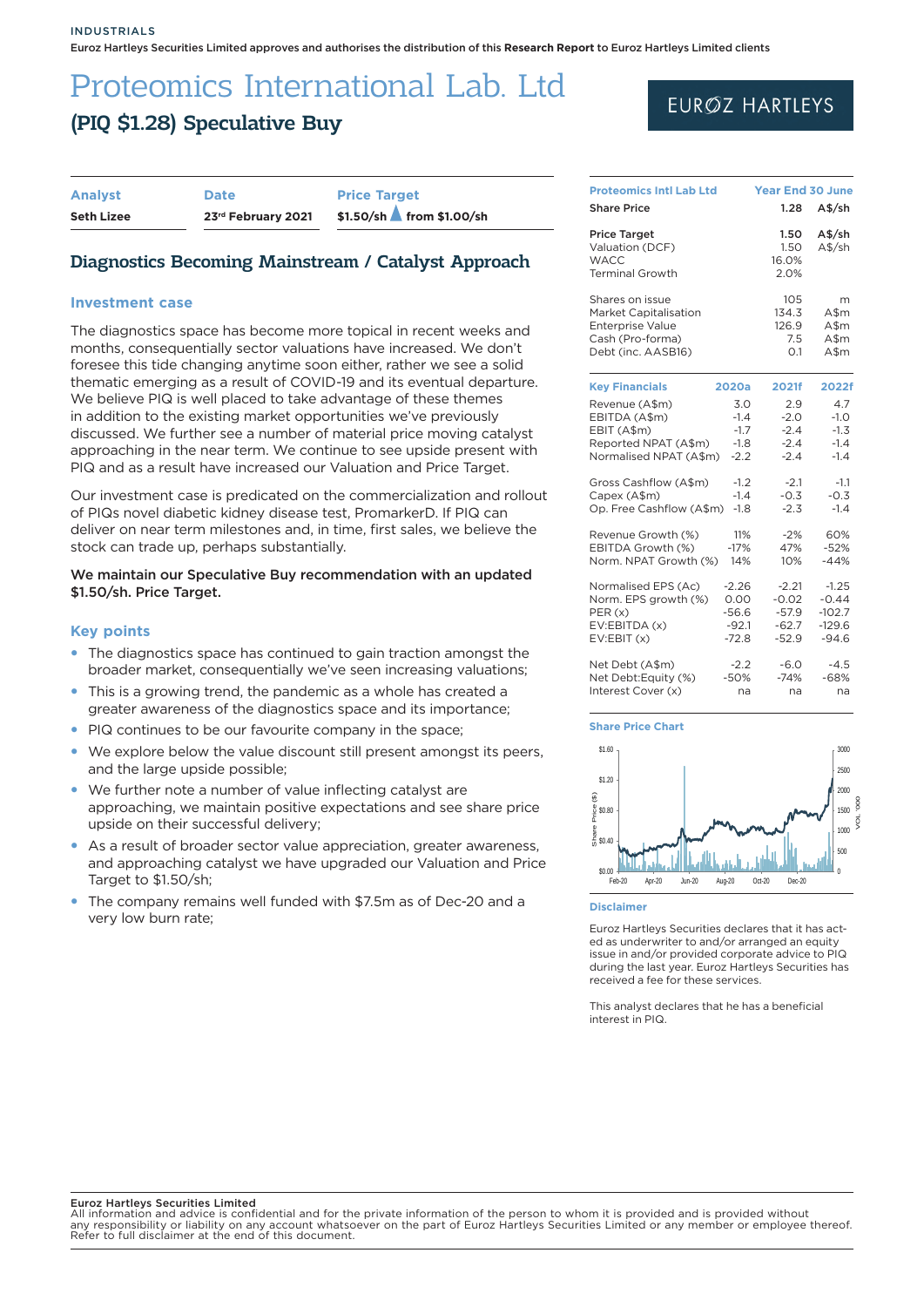# Proteomics International Lab. Ltd (PIQ \$1.28) Speculative Buy

| <b>Analyst</b>    | <b>Date</b>        | <b>Price Target</b> |                          |  |  |
|-------------------|--------------------|---------------------|--------------------------|--|--|
| <b>Seth Lizee</b> | 23rd February 2021 |                     | \$1.50/sh from \$1.00/sh |  |  |

## Diagnostics Becoming Mainstream / Catalyst Approach

### **Investment case**

The diagnostics space has become more topical in recent weeks and months, consequentially sector valuations have increased. We don't foresee this tide changing anytime soon either, rather we see a solid thematic emerging as a result of COVID-19 and its eventual departure. We believe PIQ is well placed to take advantage of these themes in addition to the existing market opportunities we've previously discussed. We further see a number of material price moving catalyst approaching in the near term. We continue to see upside present with PIQ and as a result have increased our Valuation and Price Target.

Our investment case is predicated on the commercialization and rollout of PIQs novel diabetic kidney disease test, PromarkerD. If PIQ can deliver on near term milestones and, in time, first sales, we believe the stock can trade up, perhaps substantially.

### We maintain our Speculative Buy recommendation with an updated \$1.50/sh. Price Target.

### **Key points**

- The diagnostics space has continued to gain traction amongst the broader market, consequentially we've seen increasing valuations;
- This is a growing trend, the pandemic as a whole has created a greater awareness of the diagnostics space and its importance;
- PIQ continues to be our favourite company in the space;
- We explore below the value discount still present amongst its peers, and the large upside possible;
- We further note a number of value inflecting catalyst are approaching, we maintain positive expectations and see share price upside on their successful delivery;
- As a result of broader sector value appreciation, greater awareness, and approaching catalyst we have upgraded our Valuation and Price Target to \$1.50/sh;
- The company remains well funded with \$7.5m as of Dec-20 and a very low burn rate;

## **EURØZ HARTLEYS**

| <b>Proteomics Intl Lab Ltd</b> | <b>Year End 30 June</b> |         |          |
|--------------------------------|-------------------------|---------|----------|
| <b>Share Price</b>             |                         | 1.28    | $A$$ /sh |
| <b>Price Target</b>            |                         | 1.50    | $A$$ /sh |
| Valuation (DCF)                |                         | 1.50    | $A$$ /sh |
| <b>WACC</b>                    |                         | 16.0%   |          |
| <b>Terminal Growth</b>         |                         | 2.0%    |          |
| Shares on issue                |                         | 105     | m        |
| <b>Market Capitalisation</b>   |                         | 134.3   | A\$m     |
| <b>Enterprise Value</b>        |                         | 126.9   | $A$ \$m  |
| Cash (Pro-forma)               |                         | 7.5     | $A$ \$m  |
| Debt (inc. AASB16)             |                         | O.1     | $A$ \$m  |
| <b>Key Financials</b>          | 2020a                   | 2021f   | 2022f    |
| Revenue (A\$m)                 | 3.0                     | 2.9     | 4.7      |
| EBITDA (A\$m)                  | $-1.4$                  | $-2.0$  | $-1.0$   |
| EBIT (A\$m)                    | $-1.7$                  | $-2.4$  | $-1.3$   |
| Reported NPAT (A\$m)           | $-1.8$                  | $-2.4$  | $-1.4$   |
| Normalised NPAT (A\$m)         | $-2.2$                  | $-2.4$  | $-1.4$   |
| Gross Cashflow (A\$m)          | $-1.2$                  | $-2.1$  | $-1.1$   |
| Capex (A\$m)                   | $-1.4$                  | $-0.3$  | $-0.3$   |
| Op. Free Cashflow (A\$m)       | $-1.8$                  | $-2.3$  | $-1.4$   |
| Revenue Growth (%)             | 11%                     | $-2%$   | 60%      |
| EBITDA Growth (%)              | $-17%$                  | 47%     | $-52%$   |
| Norm. NPAT Growth (%)          | 14%                     | 10%     | $-44%$   |
| Normalised EPS (Ac)            | $-2.26$                 | $-2.21$ | $-1.25$  |
| Norm. EPS growth (%)           | 0.00                    | $-0.02$ | $-0.44$  |
| PER(x)                         | $-56.6$                 | $-57.9$ | $-102.7$ |
| EV:EBITDA (x)                  | $-92.1$                 | $-62.7$ | $-129.6$ |
| EV:EBIT(x)                     | $-72.8$                 | $-52.9$ | $-94.6$  |
| Net Debt (A\$m)                | $-2.2$                  | $-6.0$  | $-4.5$   |
| Net Debt:Equity (%)            | $-50%$                  | $-74%$  | -68%     |
| Interest Cover (x)             | na                      | na      | na       |

#### **Share Price Chart**



#### **Disclaimer**

Euroz Hartleys Securities declares that it has acted as underwriter to and/or arranged an equity issue in and/or provided corporate advice to PIQ during the last year. Euroz Hartleys Securities has received a fee for these services.

This analyst declares that he has a beneficial interest in PIQ.

#### Euroz Hartleys Securities Limited

All information and advice is confidential and for the private information of the person to whom it is provided and is provided without any responsibility or liability on any account whatsoever on the part of Euroz Hartleys Securities Limited or any member or employee thereof. Refer to full disclaimer at the end of this document.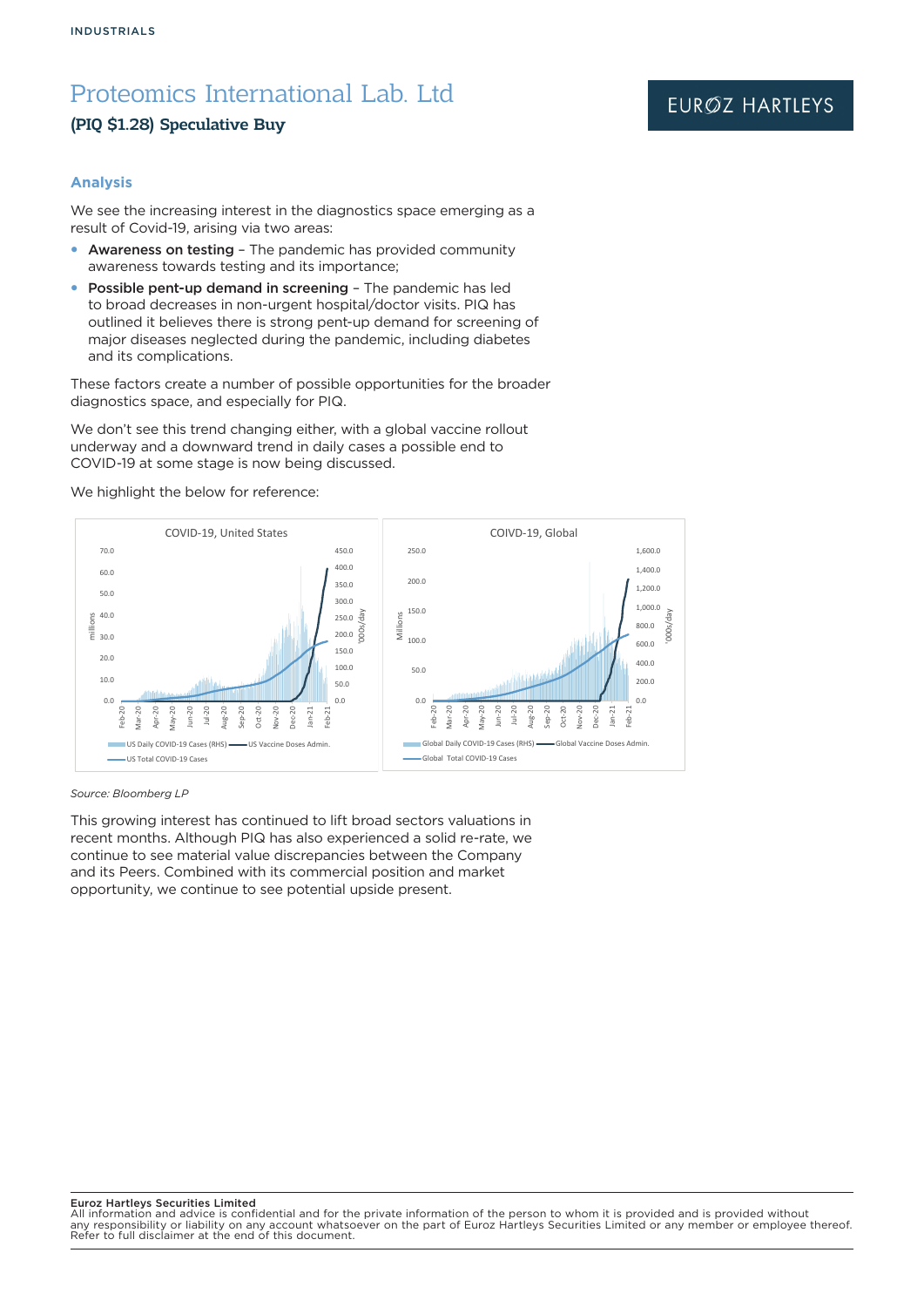### (PIQ \$1.28) Speculative Buy

### **Analysis**

We see the increasing interest in the diagnostics space emerging as a result of Covid-19, arising via two areas:

- Awareness on testing The pandemic has provided community awareness towards testing and its importance;
- Possible pent-up demand in screening The pandemic has led to broad decreases in non-urgent hospital/doctor visits. PIQ has outlined it believes there is strong pent-up demand for screening of major diseases neglected during the pandemic, including diabetes and its complications.

These factors create a number of possible opportunities for the broader diagnostics space, and especially for PIQ.

We don't see this trend changing either, with a global vaccine rollout underway and a downward trend in daily cases a possible end to COVID-19 at some stage is now being discussed.

We highlight the below for reference:



*Source: Bloomberg LP*

This growing interest has continued to lift broad sectors valuations in recent months. Although PIQ has also experienced a solid re-rate, we continue to see material value discrepancies between the Company and its Peers. Combined with its commercial position and market opportunity, we continue to see potential upside present.

#### Euroz Hartleys Securities Limited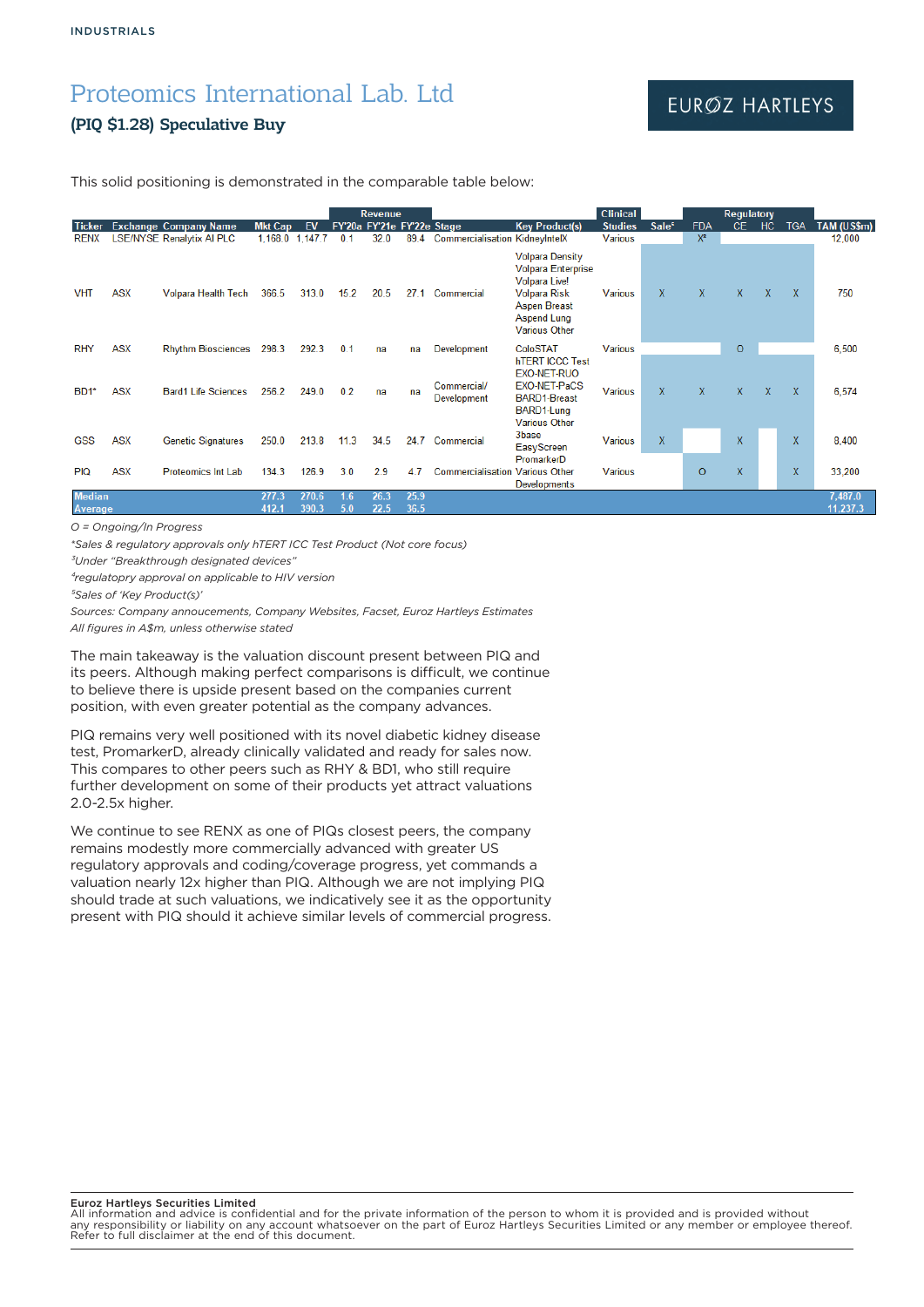### (PIQ \$1.28) Speculative Buy

## EURØZ HARTLEYS

This solid positioning is demonstrated in the comparable table below:

|                          |            |                                  |                 |                |            | <b>Revenue</b>             |              |                                        |                                                                                                                                                                  | <b>Clinical</b> |                   |            | Regulatory |              |              |                     |
|--------------------------|------------|----------------------------------|-----------------|----------------|------------|----------------------------|--------------|----------------------------------------|------------------------------------------------------------------------------------------------------------------------------------------------------------------|-----------------|-------------------|------------|------------|--------------|--------------|---------------------|
| <b>Ticker</b>            |            | <b>Exchange Company Name</b>     | <b>Mkt Cap</b>  | EV             |            | FY'20a FY'21e FY'22e Stage |              |                                        | <b>Key Product(s)</b>                                                                                                                                            | <b>Studies</b>  | Sale <sup>5</sup> | <b>FDA</b> | CE.        | HC           | <b>TGA</b>   | TAM (US\$m)         |
| <b>RENX</b>              |            | <b>LSE/NYSE Renalytix AI PLC</b> | 1,168.0 1,147.7 |                | 0.1        | 32.0                       |              | 89.4 Commercialisation KidneyIntelX    |                                                                                                                                                                  | Various         |                   | $X^3$      |            |              |              | 12,000              |
| <b>VHT</b>               | <b>ASX</b> | Volpara Health Tech              | 366.5           | 313.0          | 15.2       | 20.5                       | 27.1         | Commercial                             | <b>Volpara Density</b><br><b>Volpara Enterprise</b><br>Volpara Live!<br><b>Volpara Risk</b><br><b>Aspen Breast</b><br><b>Aspend Lung</b><br><b>Various Other</b> | <b>Various</b>  | $\mathbf{x}$      | X          | X.         | $\mathsf{x}$ | X            | 750                 |
| <b>RHY</b>               | <b>ASX</b> | <b>Rhythm Biosciences</b>        | 298.3           | 292.3          | 0.1        | na                         | na           | Development                            | ColoSTAT                                                                                                                                                         | <b>Various</b>  |                   |            | $\circ$    |              |              | 6.500               |
| BD1*                     | <b>ASX</b> | <b>Bard1 Life Sciences</b>       | 256.2           | 249.0          | 0.2        | na                         | na           | Commercial/<br>Development             | <b>hTERT ICCC Test</b><br>EXO-NET-RUO<br>EXO-NET-PaCS<br><b>BARD1-Breast</b><br>BARD1-Lung<br><b>Various Other</b>                                               | <b>Various</b>  | $\mathbf{x}$      | X          | X.         | X            | $\mathsf{X}$ | 6,574               |
| <b>GSS</b>               | <b>ASX</b> | <b>Genetic Signatures</b>        | 250.0           | 213.8          | 11.3       | 34.5                       | 24.7         | Commercial                             | 3base<br>EasyScreen                                                                                                                                              | <b>Various</b>  | $\mathsf{X}$      |            | X.         |              | X.           | 8,400               |
| <b>PIQ</b>               | <b>ASX</b> | <b>Proteomics Int Lab</b>        | 134.3           | 126.9          | 3.0        | 2.9                        | 4.7          | <b>Commercialisation Various Other</b> | PromarkerD<br>Developments                                                                                                                                       | <b>Various</b>  |                   | $\circ$    | X.         |              | $\mathsf{X}$ | 33.200              |
| <b>Median</b><br>Average |            |                                  | 277.3<br>412.1  | 270.6<br>390.3 | 1.6<br>5.0 | 26.3<br>22.5               | 25.9<br>36.5 |                                        |                                                                                                                                                                  |                 |                   |            |            |              |              | 7,487.0<br>11,237.3 |

*O = Ongoing/In Progress*

*\*Sales & regulatory approvals only hTERT ICC Test Product (Not core focus)*

*³Under "Breakthrough designated devices"*

*⁴regulatopry approval on applicable to HIV version*

*⁵Sales of 'Key Product(s)'*

*Sources: Company annoucements, Company Websites, Facset, Euroz Hartleys Estimates All figures in A\$m, unless otherwise stated*

The main takeaway is the valuation discount present between PIQ and its peers. Although making perfect comparisons is difficult, we continue to believe there is upside present based on the companies current position, with even greater potential as the company advances.

PIQ remains very well positioned with its novel diabetic kidney disease test, PromarkerD, already clinically validated and ready for sales now. This compares to other peers such as RHY & BD1, who still require further development on some of their products yet attract valuations 2.0-2.5x higher.

We continue to see RENX as one of PIQs closest peers, the company remains modestly more commercially advanced with greater US regulatory approvals and coding/coverage progress, yet commands a valuation nearly 12x higher than PIQ. Although we are not implying PIQ should trade at such valuations, we indicatively see it as the opportunity present with PIQ should it achieve similar levels of commercial progress.

#### Euroz Hartleys Securities Limited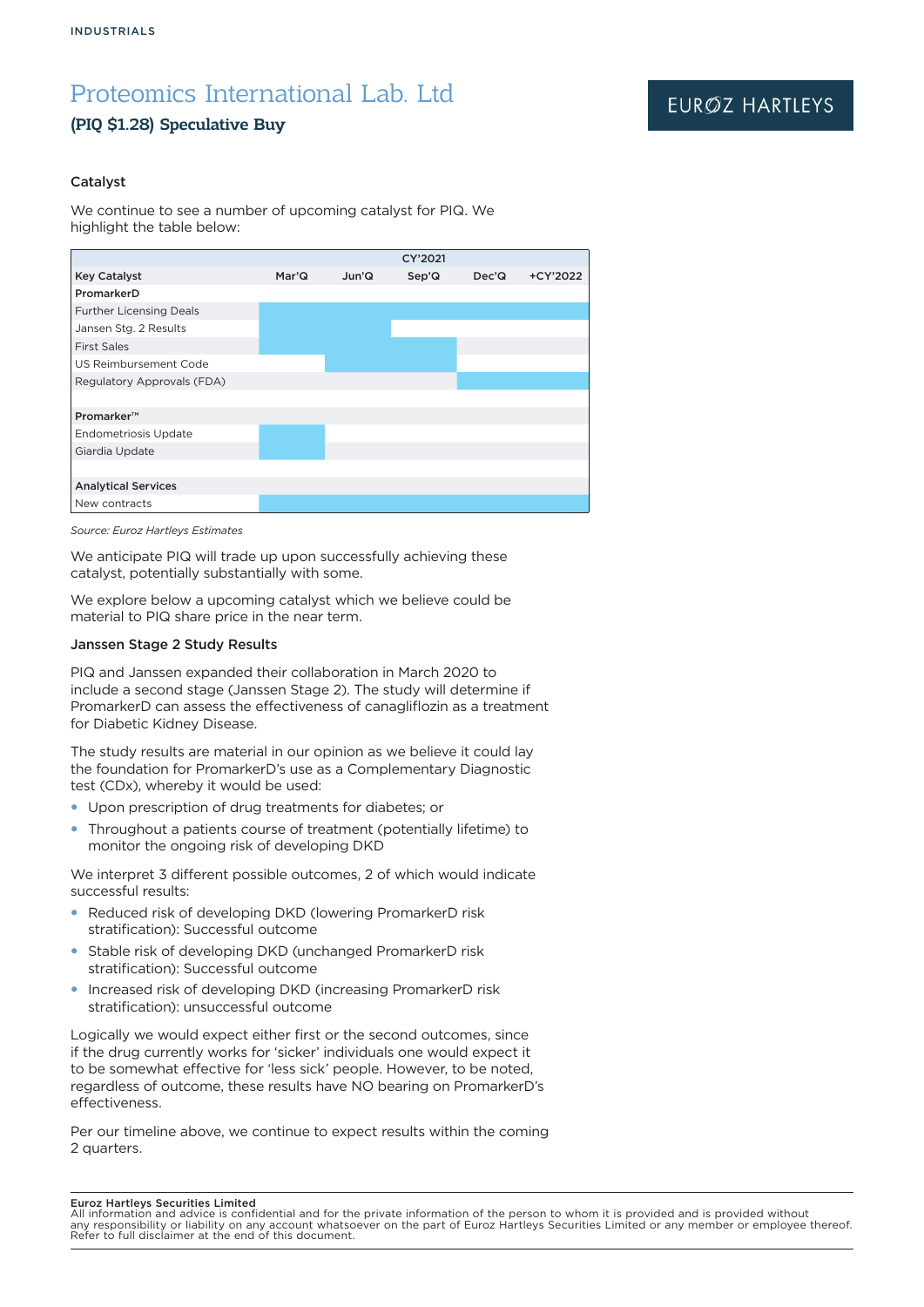## (PIQ \$1.28) Speculative Buy

### Catalyst

We continue to see a number of upcoming catalyst for PIQ. We highlight the table below:



*Source: Euroz Hartleys Estimates*

We anticipate PIQ will trade up upon successfully achieving these catalyst, potentially substantially with some.

We explore below a upcoming catalyst which we believe could be material to PIQ share price in the near term.

### Janssen Stage 2 Study Results

PIQ and Janssen expanded their collaboration in March 2020 to include a second stage (Janssen Stage 2). The study will determine if PromarkerD can assess the effectiveness of canagliflozin as a treatment for Diabetic Kidney Disease.

The study results are material in our opinion as we believe it could lay the foundation for PromarkerD's use as a Complementary Diagnostic test (CDx), whereby it would be used:

- Upon prescription of drug treatments for diabetes; or
- Throughout a patients course of treatment (potentially lifetime) to monitor the ongoing risk of developing DKD

We interpret 3 different possible outcomes, 2 of which would indicate successful results:

- Reduced risk of developing DKD (lowering PromarkerD risk stratification): Successful outcome
- Stable risk of developing DKD (unchanged PromarkerD risk stratification): Successful outcome
- Increased risk of developing DKD (increasing PromarkerD risk stratification): unsuccessful outcome

Logically we would expect either first or the second outcomes, since if the drug currently works for 'sicker' individuals one would expect it to be somewhat effective for 'less sick' people. However, to be noted, regardless of outcome, these results have NO bearing on PromarkerD's effectiveness.

Per our timeline above, we continue to expect results within the coming 2 quarters.

#### Euroz Hartleys Securities Limited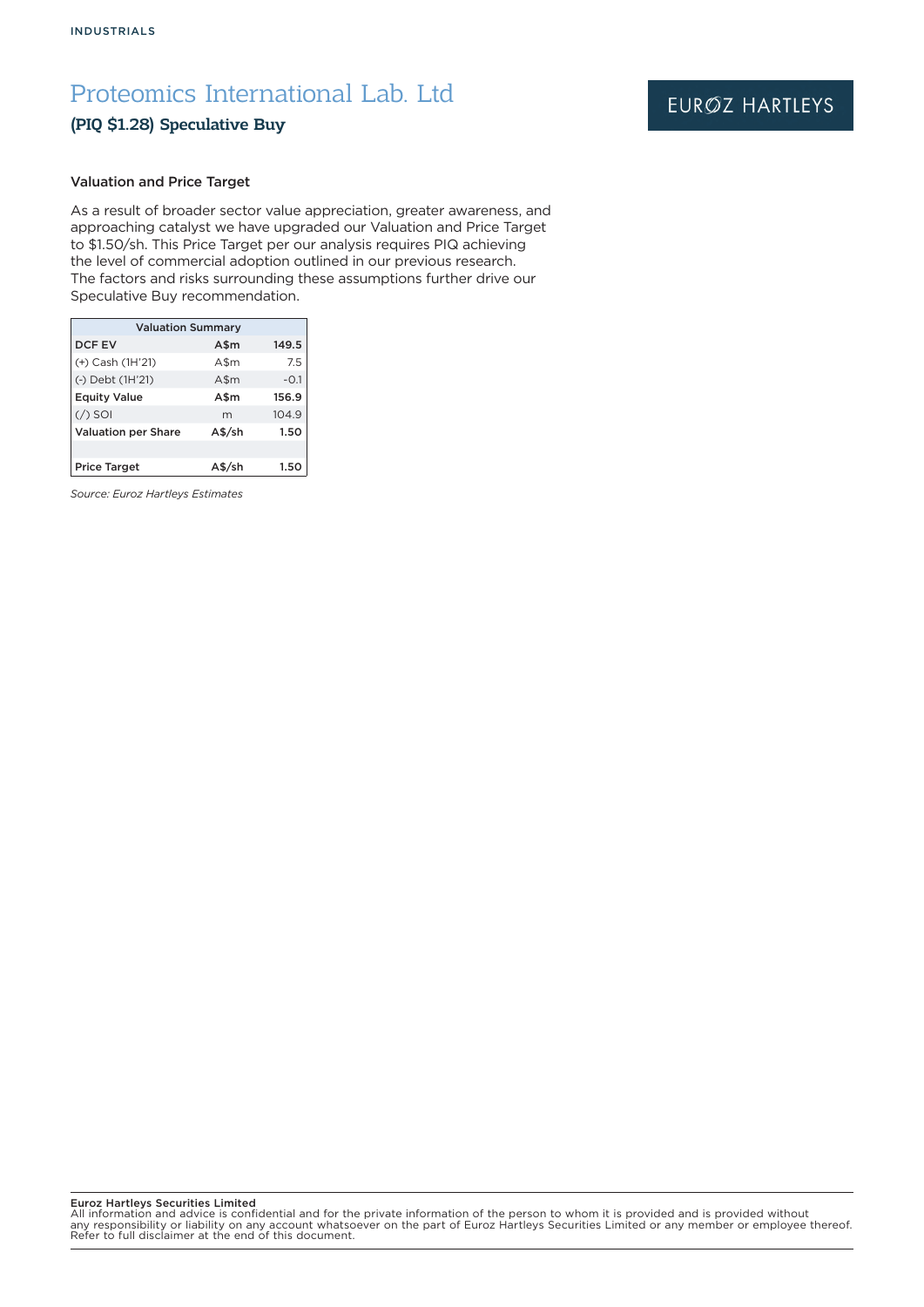### (PIQ \$1.28) Speculative Buy

## EURØZ HARTLEYS

### Valuation and Price Target

As a result of broader sector value appreciation, greater awareness, and approaching catalyst we have upgraded our Valuation and Price Target to \$1.50/sh. This Price Target per our analysis requires PIQ achieving the level of commercial adoption outlined in our previous research. The factors and risks surrounding these assumptions further drive our Speculative Buy recommendation.

| <b>Valuation Summary</b>   |          |        |  |  |  |  |
|----------------------------|----------|--------|--|--|--|--|
| DCF EV                     | A\$m     | 149.5  |  |  |  |  |
| (+) Cash (1H'21)           | A\$m     | 7.5    |  |  |  |  |
| (-) Debt (1H'21)           | $A\$ m   | $-0.1$ |  |  |  |  |
| <b>Equity Value</b>        | A\$m     | 156.9  |  |  |  |  |
| $($ / $)$ SOI              | m        | 104.9  |  |  |  |  |
| <b>Valuation per Share</b> | $A$$ /sh | 1.50   |  |  |  |  |
|                            |          |        |  |  |  |  |
| <b>Price Target</b>        | \$/sh    | 1.50   |  |  |  |  |

*Source: Euroz Hartleys Estimates*

Euroz Hartleys Securities Limited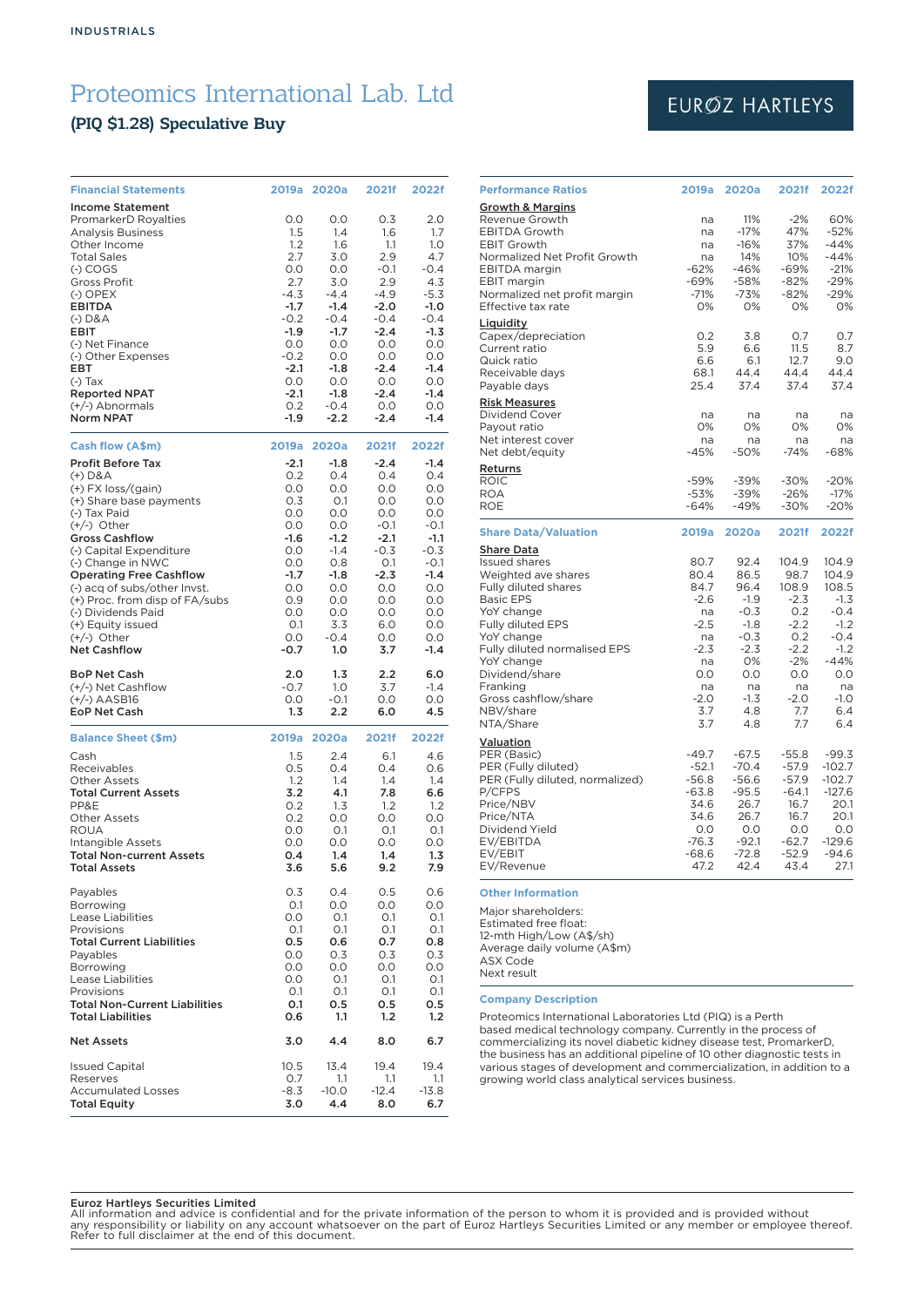### (PIQ \$1.28) Speculative Buy

| <b>Financial Statements</b>                                    | 2019a            | 2020a            | 2021f            | 2022f            |
|----------------------------------------------------------------|------------------|------------------|------------------|------------------|
| <b>Income Statement</b>                                        |                  |                  |                  |                  |
| PromarkerD Royalties<br><b>Analysis Business</b>               | 0.0<br>1.5       | 0.0<br>1.4       | 0.3<br>1.6       | 2.0<br>1.7       |
| Other Income                                                   | 1.2              | 1.6              | 1.1              | 1.0              |
| <b>Total Sales</b><br>$(-)$ COGS                               | 2.7<br>0.0       | 3.0<br>O.O       | 2.9<br>$-0.1$    | 4.7<br>$-0.4$    |
| Gross Profit                                                   | 2.7              | 3.0              | 2.9              | 4.3              |
| $(-)$ OPEX<br>EBITDA                                           | $-4.3$<br>$-1.7$ | $-4.4$<br>$-1.4$ | $-4.9$<br>$-2.0$ | $-5.3$<br>$-1.0$ |
| $(-)$ D&A                                                      | $-0.2$           | $-0.4$           | $-0.4$           | $-0.4$           |
| <b>EBIT</b>                                                    | $-1.9$           | $-1.7$           | $-2.4$           | $-1.3$           |
| (-) Net Finance<br>(-) Other Expenses                          | O.O<br>$-0.2$    | O.O<br>O.O       | O.O<br>0.0       | O.O<br>0.0       |
| EBT                                                            | $-2.1$           | $-1.8$           | $-2.4$           | $-1.4$           |
| $(-)$ Tax<br><b>Reported NPAT</b>                              | 0.0<br>$-2.1$    | O.O<br>$-1.8$    | 0.0<br>$-2.4$    | 0.0<br>$-1.4$    |
| (+/-) Abnormals                                                | 0.2              | $-0.4$           | 0.0              | 0.0              |
| <b>Norm NPAT</b>                                               | $-1.9$           | $-2.2$           | $-2.4$           | $-1.4$           |
| Cash flow (A\$m)                                               | 2019a            | 2020a            | 2021f            | 2022f            |
| <b>Profit Before Tax</b><br>$(+)$ D&A                          | $-2.1$<br>0.2    | $-1.8$<br>O.4    | $-2.4$<br>O.4    | $-1.4$<br>O.4    |
| $(+)$ FX loss/(gain)                                           | 0.0              | O.O              | 0.0              | 0.0              |
| (+) Share base payments<br>(-) Tax Paid                        | 0.3<br>O.O       | 0.1<br>O.O       | 0.0<br>O.O       | 0.0<br>O.O       |
| $(+/-)$ Other                                                  | 0.0              | 0.0              | $-0.1$           | $-0.1$           |
| <b>Gross Cashflow</b>                                          | $-1.6$           | $-1.2$           | $-2.1$           | $-1.1$           |
| (-) Capital Expenditure<br>(-) Change in NWC                   | 0.0<br>0.0       | $-1.4$<br>0.8    | $-0.3$<br>0.1    | $-0.3$<br>$-0.1$ |
| <b>Operating Free Cashflow</b>                                 | $-1.7$           | $-1.8$           | $-2.3$           | $-1.4$           |
| (-) acq of subs/other Invst.<br>(+) Proc. from disp of FA/subs | 0.0<br>0.9       | O.O<br>0.0       | O.O<br>0.0       | 0.0<br>0.0       |
| (-) Dividends Paid                                             | 0.0              | 0.0              | 0.0              | 0.0              |
| (+) Equity issued<br>$(+/-)$ Other                             | O.1<br>0.0       | 3.3<br>$-0.4$    | 6.0<br>O.O       | O.O<br>0.0       |
| <b>Net Cashflow</b>                                            | $-0.7$           | 1.0              | 3.7              | $-1.4$           |
| <b>BoP Net Cash</b>                                            | 2.0              | 1.3              | 2.2              | 6.0              |
| (+/-) Net Cashflow<br>$(+/-)$ AASB16                           | $-0.7$<br>0.0    | 1.0<br>$-0.1$    | 3.7<br>0.0       | $-1.4$<br>0.0    |
| <b>EoP Net Cash</b>                                            | 1.3              | 2.2              | 6.0              | 4.5              |
| <b>Balance Sheet (\$m)</b>                                     | 2019a            | 2020a            | 2021f            | 2022f            |
| Cash                                                           | 1.5              | 2.4              | 6.1              | 4.6              |
| Receivables<br><b>Other Assets</b>                             | 0.5<br>1.2       | 0.4<br>1.4       | O.4<br>1.4       | 0.6<br>1.4       |
| <b>Total Current Assets</b>                                    | 3.2              | 4.1              | 7.8              | 6.6              |
| PP&E<br><b>Other Assets</b>                                    | 0.2<br>0.2       | 1.3<br>0.0       | 1.2<br>O.O       | 1.2<br>0.0       |
| <b>ROUA</b>                                                    | 0.0              | O.1              | O.1              | O.1              |
| Intangible Assets<br><b>Total Non-current Assets</b>           | O.O<br>0.4       | O.O<br>1.4       | 0.0<br>1.4       | 0.0<br>1.3       |
| <b>Total Assets</b>                                            | 3.6              | 5.6              | 9.2              | 7.9              |
| Payables                                                       | 0.3              | 0.4              | 0.5              | 0.6              |
| Borrowing<br><b>Lease Liabilities</b>                          | O.1<br>0.0       | O.O<br>O.1       | 0.0<br>0.1       | O.O<br>0.1       |
| Provisions                                                     | O.1              | O.1              | 0.1              | 0.1              |
| <b>Total Current Liabilities</b>                               | 0.5<br>O.O       | 0.6              | 0.7              | 0.8              |
| Payables<br>Borrowing                                          | 0.0              | 0.3<br>0.0       | 0.3<br>O.O       | 0.3<br>0.0       |
| Lease Liabilities                                              | 0.0              | O.1              | O.1              | O.1              |
| Provisions<br><b>Total Non-Current Liabilities</b>             | 0.1<br>0.1       | 0.1<br>0.5       | 0.1<br>0.5       | 0.1<br>0.5       |
| <b>Total Liabilities</b>                                       | 0.6              | 1.1              | 1.2              | 1.2              |
| <b>Net Assets</b>                                              | 3.0              | 4.4              | 8.0              | 6.7              |
| <b>Issued Capital</b><br>Reserves                              | 10.5<br>0.7      | 13.4<br>1.1      | 19.4<br>1.1      | 19.4<br>1.1      |
| <b>Accumulated Losses</b>                                      | -8.3             | $-10.0$          | $-12.4$          | $-13.8$          |
| <b>Total Equity</b>                                            | 3.0              | 4.4              | 8.0              | 6.7              |

## EURØZ HARTLEYS

| <b>Performance Ratios</b>                                                                                                                                                                                                                                                                          | 2019a                                                                                                     | 2020a                                                                                                             | 2021f                                                                                                            | 2022f                                                                                                                    |
|----------------------------------------------------------------------------------------------------------------------------------------------------------------------------------------------------------------------------------------------------------------------------------------------------|-----------------------------------------------------------------------------------------------------------|-------------------------------------------------------------------------------------------------------------------|------------------------------------------------------------------------------------------------------------------|--------------------------------------------------------------------------------------------------------------------------|
| <b>Growth &amp; Margins</b><br>Revenue Growth<br><b>EBITDA Growth</b><br><b>EBIT Growth</b><br>Normalized Net Profit Growth<br>EBITDA margin<br><b>EBIT</b> margin<br>Normalized net profit margin<br>Effective tax rate                                                                           | na<br>na<br>na<br>na<br>$-62%$<br>$-69%$<br>$-71%$<br>0%                                                  | 11%<br>$-17%$<br>$-16%$<br>14%<br>$-46%$<br>$-58%$<br>$-73%$<br>O%                                                | $-2%$<br>47%<br>37%<br>10%<br>$-69%$<br>$-82%$<br>$-82%$<br>0%                                                   | 60%<br>$-52%$<br>$-44%$<br>$-44%$<br>$-21%$<br>-29%<br>$-29%$<br>0%                                                      |
| Liquidity<br>Capex/depreciation<br>Current ratio<br>Quick ratio<br>Receivable days<br>Payable days                                                                                                                                                                                                 | 0.2<br>5.9<br>6.6<br>68.1<br>25.4                                                                         | 3.8<br>6.6<br>6.1<br>44.4<br>37.4                                                                                 | 0.7<br>11.5<br>12.7<br>44.4<br>37.4                                                                              | 0.7<br>8.7<br>9.0<br>44.4<br>37.4                                                                                        |
| <b>Risk Measures</b><br><b>Dividend Cover</b><br>Payout ratio<br>Net interest cover<br>Net debt/equity                                                                                                                                                                                             | na<br>0%<br>na<br>$-45%$                                                                                  | na<br>0%<br>na<br>$-50%$                                                                                          | na<br>0%<br>na<br>$-74%$                                                                                         | na<br>0%<br>na<br>$-68%$                                                                                                 |
| <b>Returns</b><br><b>ROIC</b><br><b>ROA</b><br><b>ROE</b>                                                                                                                                                                                                                                          | $-59%$<br>$-53%$<br>$-64%$                                                                                | $-39%$<br>$-39%$<br>$-49%$                                                                                        | $-30%$<br>$-26%$<br>-30%                                                                                         | $-20%$<br>$-17%$<br>$-20%$                                                                                               |
| <b>Share Data/Valuation</b>                                                                                                                                                                                                                                                                        | 2019a                                                                                                     | 2020a                                                                                                             | 2021f                                                                                                            | 2022f                                                                                                                    |
| <b>Share Data</b><br><b>Issued shares</b><br>Weighted ave shares<br>Fully diluted shares<br><b>Basic EPS</b><br>YoY change<br><b>Fully diluted EPS</b><br>YoY change<br>Fully diluted normalised EPS<br>YoY change<br>Dividend/share<br>Franking<br>Gross cashflow/share<br>NBV/share<br>NTA/Share | 80.7<br>80.4<br>84.7<br>$-2.6$<br>na<br>$-2.5$<br>na<br>$-2.3$<br>na<br>O.O<br>na<br>$-2.0$<br>3.7<br>3.7 | 92.4<br>86.5<br>96.4<br>$-1.9$<br>$-0.3$<br>$-1.8$<br>$-0.3$<br>$-2.3$<br>0%<br>O.O<br>na<br>$-1.3$<br>4.8<br>4.8 | 104.9<br>98.7<br>108.9<br>$-2.3$<br>0.2<br>$-2.2$<br>O.2<br>$-2.2$<br>$-2%$<br>O.O<br>na<br>$-2.0$<br>7.7<br>7.7 | 104.9<br>104.9<br>108.5<br>$-1.3$<br>$-0.4$<br>$-1.2$<br>$-0.4$<br>$-1.2$<br>$-44%$<br>O.O<br>na<br>$-1.0$<br>6.4<br>6.4 |
| Valuation<br>PER (Basic)<br>PER (Fully diluted)<br>PER (Fully diluted, normalized)<br>P/CFPS<br>Price/NBV<br>Price/NTA<br>Dividend Yield<br>EV/EBITDA<br>EV/EBIT<br>EV/Revenue                                                                                                                     | $-49.7$<br>$-52.1$<br>$-56.8$<br>$-63.8$<br>34.6<br>34.6<br>0.0<br>-76.3<br>$-68.6$<br>47.2               | $-67.5$<br>$-70.4$<br>$-56.6$<br>$-95.5$<br>26.7<br>26.7<br>0.0<br>$-92.1$<br>$-72.8$<br>42.4                     | $-55.8$<br>$-57.9$<br>$-57.9$<br>$-64.1$<br>16.7<br>16.7<br>0.0<br>$-62.7$<br>$-52.9$<br>43.4                    | $-99.3$<br>$-102.7$<br>$-102.7$<br>$-127.6$<br>20.1<br>20.1<br>0.0<br>$-129.6$<br>$-94.6$<br>27.1                        |

#### **Other Information**

Major shareholders: Estimated free float: 12-mth High/Low (A\$/sh) Average daily volume (A\$m) ASX Code Next result

### **Company Description**

Proteomics International Laboratories Ltd (PIQ) is a Perth based medical technology company. Currently in the process of commercializing its novel diabetic kidney disease test, PromarkerD, the business has an additional pipeline of 10 other diagnostic tests in various stages of development and commercialization, in addition to a growing world class analytical services business.

### Euroz Hartleys Securities Limited